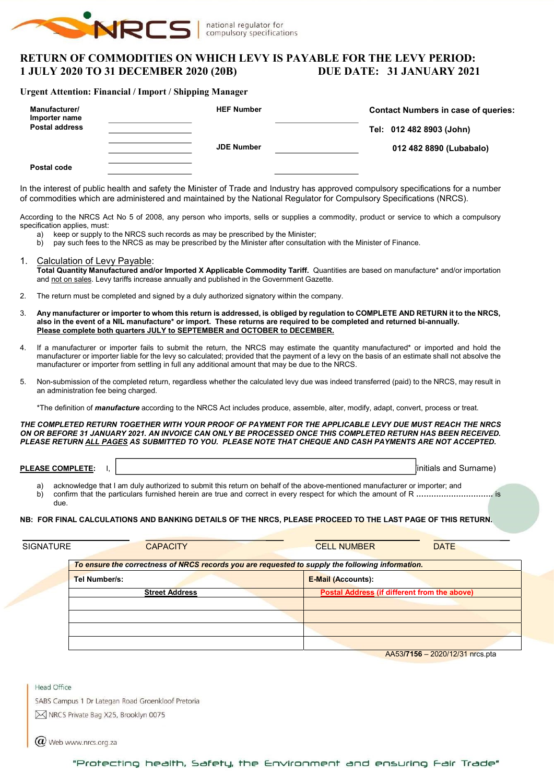

# RETURN OF COMMODITIES ON WHICH LEVY IS PAYABLE FOR THE LEVY PERIOD: 1 JULY 2020 TO 31 DECEMBER 2020 (20B) DUE DATE: 31 JANUARY 2021

#### Urgent Attention: Financial / Import / Shipping Manager

| Manufacturer/<br>Importer name<br><b>Postal address</b> | <b>HEF Number</b> | <b>Contact Numbers in case of queries:</b><br>Tel: 012 482 8903 (John) |
|---------------------------------------------------------|-------------------|------------------------------------------------------------------------|
| Postal code                                             | <b>JDE Number</b> | 012 482 8890 (Lubabalo)                                                |

In the interest of public health and safety the Minister of Trade and Industry has approved compulsory specifications for a number of commodities which are administered and maintained by the National Regulator for Compulsory Specifications (NRCS).

According to the NRCS Act No 5 of 2008, any person who imports, sells or supplies a commodity, product or service to which a compulsory specification applies, must:

- a) keep or supply to the NRCS such records as may be prescribed by the Minister;
- b) pay such fees to the NRCS as may be prescribed by the Minister after consultation with the Minister of Finance.

#### 1. Calculation of Levy Payable:

Total Quantity Manufactured and/or Imported X Applicable Commodity Tariff. Quantities are based on manufacture\* and/or importation and not on sales. Levy tariffs increase annually and published in the Government Gazette.

- 2. The return must be completed and signed by a duly authorized signatory within the company.
- 3. Any manufacturer or importer to whom this return is addressed, is obliged by regulation to COMPLETE AND RETURN it to the NRCS, also in the event of a NIL manufacture\* or import. These returns are required to be completed and returned bi-annually. Please complete both quarters JULY to SEPTEMBER and OCTOBER to DECEMBER.
- 4. If a manufacturer or importer fails to submit the return, the NRCS may estimate the quantity manufactured\* or imported and hold the manufacturer or importer liable for the levy so calculated; provided that the payment of a levy on the basis of an estimate shall not absolve the manufacturer or importer from settling in full any additional amount that may be due to the NRCS.
- 5. Non-submission of the completed return, regardless whether the calculated levy due was indeed transferred (paid) to the NRCS, may result in an administration fee being charged.
	- \*The definition of *manufacture* according to the NRCS Act includes produce, assemble, alter, modify, adapt, convert, process or treat.

THE COMPLETED RETURN TOGETHER WITH YOUR PROOF OF PAYMENT FOR THE APPLICABLE LEVY DUE MUST REACH THE NRCS ON OR BEFORE 31 JANUARY 2021. AN INVOICE CAN ONLY BE PROCESSED ONCE THIS COMPLETED RETURN HAS BEEN RECEIVED. PLEASE RETURN ALL PAGES AS SUBMITTED TO YOU. PLEASE NOTE THAT CHEQUE AND CASH PAYMENTS ARE NOT ACCEPTED.

PLEASE COMPLETE: I,  $\vert$ 

- a) acknowledge that I am duly authorized to submit this return on behalf of the above-mentioned manufacturer or importer; and
- b) confirm that the particulars furnished herein are true and correct in every respect for which the amount of R ………………………………………… is due.

#### NB: FOR FINAL CALCULATIONS AND BANKING DETAILS OF THE NRCS, PLEASE PROCEED TO THE LAST PAGE OF THIS RETURN.

| <b>SIGNATURE</b> | <b>CAPACITY</b>       | <b>CELL NUMBER</b><br><b>DATE</b>                                                                |
|------------------|-----------------------|--------------------------------------------------------------------------------------------------|
|                  |                       | To ensure the correctness of NRCS records you are requested to supply the following information. |
| Tel Number/s:    |                       | <b>E-Mail (Accounts):</b>                                                                        |
|                  | <b>Street Address</b> | Postal Address (if different from the above)                                                     |
|                  |                       |                                                                                                  |
|                  |                       |                                                                                                  |
|                  |                       |                                                                                                  |
|                  |                       |                                                                                                  |

AA53/7156 – 2020/12/31 nrcs.pta

Head Office SABS Campus 1 Dr Lategan Road Groenkloof Pretoria

M NRCS Private Bag X25, Brooklyn 0075

 $(\alpha)$  Web www.nrcs.org.za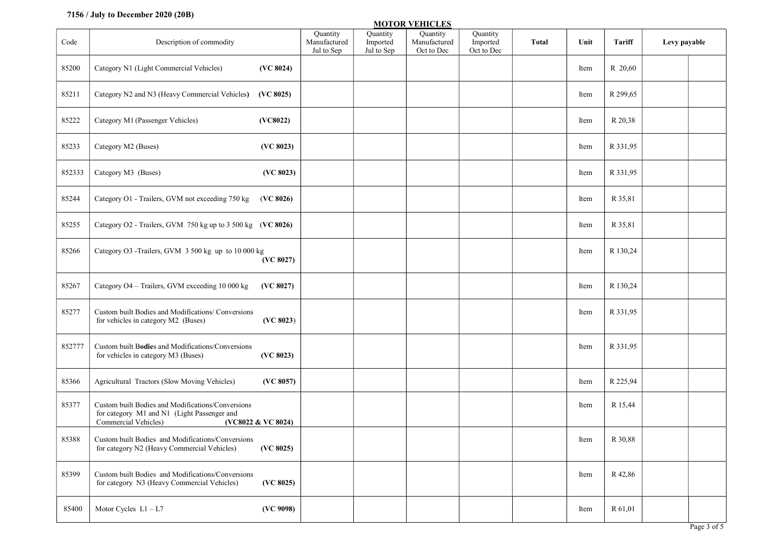## 7156 / July to December 2020 (20B)

|        | <b>MOTOR VEHICLES</b>                                                                                                                          |                                        |                                    |                                        |                                    |       |      |          |              |             |  |
|--------|------------------------------------------------------------------------------------------------------------------------------------------------|----------------------------------------|------------------------------------|----------------------------------------|------------------------------------|-------|------|----------|--------------|-------------|--|
| Code   | Description of commodity                                                                                                                       | Quantity<br>Manufactured<br>Jul to Sep | Quantity<br>Imported<br>Jul to Sep | Quantity<br>Manufactured<br>Oct to Dec | Quantity<br>Imported<br>Oct to Dec | Total | Unit | Tariff   | Levy payable |             |  |
| 85200  | Category N1 (Light Commercial Vehicles)<br>(VC 8024)                                                                                           |                                        |                                    |                                        |                                    |       | Item | R 20,60  |              |             |  |
| 85211  | Category N2 and N3 (Heavy Commercial Vehicles)<br>(VC 8025)                                                                                    |                                        |                                    |                                        |                                    |       | Item | R 299,65 |              |             |  |
| 85222  | Category M1 (Passenger Vehicles)<br>(VC8022)                                                                                                   |                                        |                                    |                                        |                                    |       | Item | R 20,38  |              |             |  |
| 85233  | Category M2 (Buses)<br>(VC 8023)                                                                                                               |                                        |                                    |                                        |                                    |       | Item | R 331,95 |              |             |  |
| 852333 | (VC 8023)<br>Category M3 (Buses)                                                                                                               |                                        |                                    |                                        |                                    |       | Item | R 331,95 |              |             |  |
| 85244  | Category O1 - Trailers, GVM not exceeding 750 kg<br>(VC 8026)                                                                                  |                                        |                                    |                                        |                                    |       | Item | R 35,81  |              |             |  |
| 85255  | Category O2 - Trailers, GVM 750 kg up to 3 500 kg (VC 8026)                                                                                    |                                        |                                    |                                        |                                    |       | Item | R 35,81  |              |             |  |
| 85266  | Category O3 -Trailers, GVM 3 500 kg up to 10 000 kg<br>(VC 8027)                                                                               |                                        |                                    |                                        |                                    |       | Item | R 130,24 |              |             |  |
| 85267  | Category O4 - Trailers, GVM exceeding 10 000 kg<br>(VC 8027)                                                                                   |                                        |                                    |                                        |                                    |       | Item | R 130,24 |              |             |  |
| 85277  | Custom built Bodies and Modifications/ Conversions<br>for vehicles in category M2 (Buses)<br>(VC 8023)                                         |                                        |                                    |                                        |                                    |       | Item | R 331,95 |              |             |  |
| 852777 | Custom built Bodies and Modifications/Conversions<br>for vehicles in category M3 (Buses)<br>(VC 8023)                                          |                                        |                                    |                                        |                                    |       | Item | R 331,95 |              |             |  |
| 85366  | Agricultural Tractors (Slow Moving Vehicles)<br>(VC 8057)                                                                                      |                                        |                                    |                                        |                                    |       | Item | R 225,94 |              |             |  |
| 85377  | Custom built Bodies and Modifications/Conversions<br>for category M1 and N1 (Light Passenger and<br>Commercial Vehicles)<br>(VC8022 & VC 8024) |                                        |                                    |                                        |                                    |       | Item | R 15,44  |              |             |  |
| 85388  | Custom built Bodies and Modifications/Conversions<br>for category N2 (Heavy Commercial Vehicles)<br>(VC 8025)                                  |                                        |                                    |                                        |                                    |       | Item | R 30,88  |              |             |  |
| 85399  | Custom built Bodies and Modifications/Conversions<br>(VC 8025)<br>for category N3 (Heavy Commercial Vehicles)                                  |                                        |                                    |                                        |                                    |       | Item | R 42,86  |              |             |  |
| 85400  | Motor Cycles $L1 - L7$<br>(VC 9098)                                                                                                            |                                        |                                    |                                        |                                    |       | Item | R 61,01  |              |             |  |
|        |                                                                                                                                                |                                        |                                    |                                        |                                    |       |      |          |              | Page 3 of 5 |  |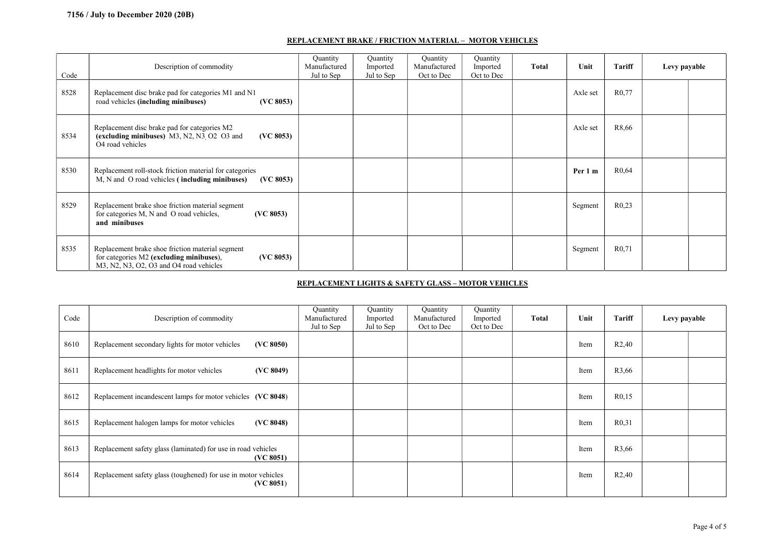#### REPLACEMENT BRAKE / FRICTION MATERIAL – MOTOR VEHICLES

| Code | Description of commodity                                                                                                                             | Quantity<br>Manufactured<br>Jul to Sep | Quantity<br>Imported<br>Jul to Sep | Quantity<br>Manufactured<br>Oct to Dec | Quantity<br>Imported<br>Oct to Dec | Total | Unit     | Tariff             | Levy payable |  |
|------|------------------------------------------------------------------------------------------------------------------------------------------------------|----------------------------------------|------------------------------------|----------------------------------------|------------------------------------|-------|----------|--------------------|--------------|--|
| 8528 | Replacement disc brake pad for categories M1 and N1<br>road vehicles (including minibuses)<br>(VC 8053)                                              |                                        |                                    |                                        |                                    |       | Axle set | R <sub>0</sub> .77 |              |  |
| 8534 | Replacement disc brake pad for categories M2<br>(excluding minibuses) M3, N2, N3, O2 O3 and<br>(VC 8053)<br>O <sub>4</sub> road vehicles             |                                        |                                    |                                        |                                    |       | Axle set | R8,66              |              |  |
| 8530 | Replacement roll-stock friction material for categories<br>M, N and O road vehicles (including minibuses)<br>(VC 8053)                               |                                        |                                    |                                        |                                    |       | Per 1 m  | R <sub>0</sub> .64 |              |  |
| 8529 | Replacement brake shoe friction material segment<br>for categories M, N and O road vehicles,<br>(VC 8053)<br>and minibuses                           |                                        |                                    |                                        |                                    |       | Segment  | R <sub>0.23</sub>  |              |  |
| 8535 | Replacement brake shoe friction material segment<br>for categories M2 (excluding minibuses),<br>(VC 8053)<br>M3, N2, N3, O2, O3 and O4 road vehicles |                                        |                                    |                                        |                                    |       | Segment  | R <sub>0,71</sub>  |              |  |

#### REPLACEMENT LIGHTS & SAFETY GLASS – MOTOR VEHICLES

| Code | Description of commodity                                                    | Quantity<br>Manufactured<br>Jul to Sep | Quantity<br>Imported<br>Jul to Sep | Quantity<br>Manufactured<br>Oct to Dec | Quantity<br>Imported<br>Oct to Dec | <b>Total</b> | Unit | Tariff            | Levy payable |  |
|------|-----------------------------------------------------------------------------|----------------------------------------|------------------------------------|----------------------------------------|------------------------------------|--------------|------|-------------------|--------------|--|
| 8610 | Replacement secondary lights for motor vehicles<br>(VC 8050)                |                                        |                                    |                                        |                                    |              | Item | R2,40             |              |  |
| 8611 | (VC 8049)<br>Replacement headlights for motor vehicles                      |                                        |                                    |                                        |                                    |              | Item | R3,66             |              |  |
| 8612 | Replacement incandescent lamps for motor vehicles (VC 8048)                 |                                        |                                    |                                        |                                    |              | Item | R <sub>0,15</sub> |              |  |
| 8615 | (VC 8048)<br>Replacement halogen lamps for motor vehicles                   |                                        |                                    |                                        |                                    |              | Item | R <sub>0,31</sub> |              |  |
| 8613 | Replacement safety glass (laminated) for use in road vehicles<br>(VC 8051)  |                                        |                                    |                                        |                                    |              | Item | R3,66             |              |  |
| 8614 | Replacement safety glass (toughened) for use in motor vehicles<br>(VC 8051) |                                        |                                    |                                        |                                    |              | Item | R2,40             |              |  |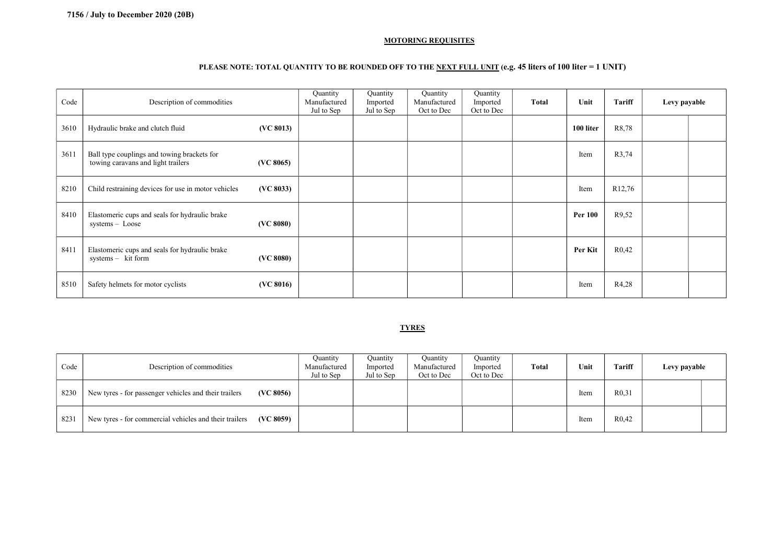#### MOTORING REQUISITES

## PLEASE NOTE: TOTAL QUANTITY TO BE ROUNDED OFF TO THE NEXT FULL UNIT (e.g. 45 liters of 100 liter = 1 UNIT)

| Code | Description of commodities                                                                     | Quantity<br>Manufactured<br>Jul to Sep | Quantity<br>Imported<br>Jul to Sep | Quantity<br>Manufactured<br>Oct to Dec | Quantity<br>Imported<br>Oct to Dec | Total | Unit           | Tariff             | Levy payable |  |
|------|------------------------------------------------------------------------------------------------|----------------------------------------|------------------------------------|----------------------------------------|------------------------------------|-------|----------------|--------------------|--------------|--|
| 3610 | Hydraulic brake and clutch fluid<br>(VC 8013)                                                  |                                        |                                    |                                        |                                    |       | 100 liter      | R8,78              |              |  |
| 3611 | Ball type couplings and towing brackets for<br>towing caravans and light trailers<br>(VC 8065) |                                        |                                    |                                        |                                    |       | Item           | R3,74              |              |  |
| 8210 | Child restraining devices for use in motor vehicles<br>(VC 8033)                               |                                        |                                    |                                        |                                    |       | Item           | R <sub>12,76</sub> |              |  |
| 8410 | Elastomeric cups and seals for hydraulic brake<br>(VC 8080)<br>systems - Loose                 |                                        |                                    |                                        |                                    |       | <b>Per 100</b> | R9,52              |              |  |
| 8411 | Elastomeric cups and seals for hydraulic brake<br>$systems - kit form$<br>(VC 8080)            |                                        |                                    |                                        |                                    |       | Per Kit        | R <sub>0</sub> ,42 |              |  |
| 8510 | Safety helmets for motor cyclists<br>(VC 8016)                                                 |                                        |                                    |                                        |                                    |       | Item           | R4,28              |              |  |

#### **TYRES**

| Code | Description of commodities                                          | Ouantity<br>Manufactured<br>Jul to Sep | Quantity<br>Imported<br>Jul to Sep | Quantity<br>Manufactured<br>Oct to Dec | Quantity<br>Imported<br>Oct to Dec | <b>Total</b> | Unit | Tariff             | Levy payable |  |
|------|---------------------------------------------------------------------|----------------------------------------|------------------------------------|----------------------------------------|------------------------------------|--------------|------|--------------------|--------------|--|
| 8230 | New tyres - for passenger vehicles and their trailers<br>(VC 8056)  |                                        |                                    |                                        |                                    |              | Item | R <sub>0</sub> ,31 |              |  |
| 8231 | New tyres - for commercial vehicles and their trailers<br>(VC 8059) |                                        |                                    |                                        |                                    |              | Item | R <sub>0</sub> ,42 |              |  |